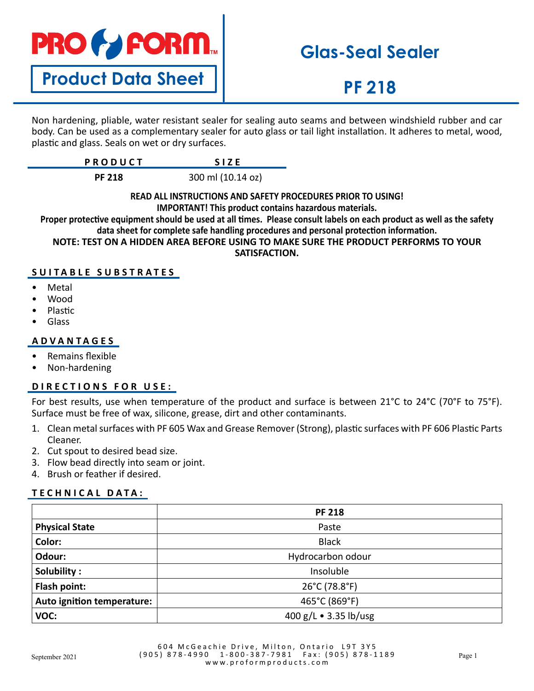

**Product Data Sheet**

# **Glas-Seal Sealer**

# **PF 218**

Non hardening, pliable, water resistant sealer for sealing auto seams and between windshield rubber and car body. Can be used as a complementary sealer for auto glass or tail light installation. It adheres to metal, wood, plastic and glass. Seals on wet or dry surfaces.

| <b>PRODUCT</b> | <b>SIZF</b>       |
|----------------|-------------------|
| <b>PF 218</b>  | 300 ml (10.14 oz) |

### **READ ALL INSTRUCTIONS AND SAFETY PROCEDURES PRIOR TO USING! IMPORTANT! This product contains hazardous materials.**

**Proper protective equipment should be used at all times. Please consult labels on each product as well as the safety data sheet for complete safe handling procedures and personal protection information.**

**NOTE: TEST ON A HIDDEN AREA BEFORE USING TO MAKE SURE THE PRODUCT PERFORMS TO YOUR SATISFACTION.**

# **SUITABLE SUBSTRATES**

- **Metal**
- Wood
- Plastic
- Glass

# **ADVANTAGES**

- Remains flexible
- Non-hardening

# **DIRECTIONS FOR USE:**

For best results, use when temperature of the product and surface is between 21°C to 24°C (70°F to 75°F). Surface must be free of wax, silicone, grease, dirt and other contaminants.

- 1. Clean metal surfaces with PF 605 Wax and Grease Remover (Strong), plastic surfaces with PF 606 Plastic Parts Cleaner.
- 2. Cut spout to desired bead size.
- 3. Flow bead directly into seam or joint.
- 4. Brush or feather if desired.

### **TECHNICAL DATA:**

|                            | <b>PF 218</b>         |
|----------------------------|-----------------------|
| <b>Physical State</b>      | Paste                 |
| Color:                     | <b>Black</b>          |
| Odour:                     | Hydrocarbon odour     |
| Solubility:                | Insoluble             |
| Flash point:               | 26°C (78.8°F)         |
| Auto ignition temperature: | 465°C (869°F)         |
| VOC:                       | 400 g/L • 3.35 lb/usg |